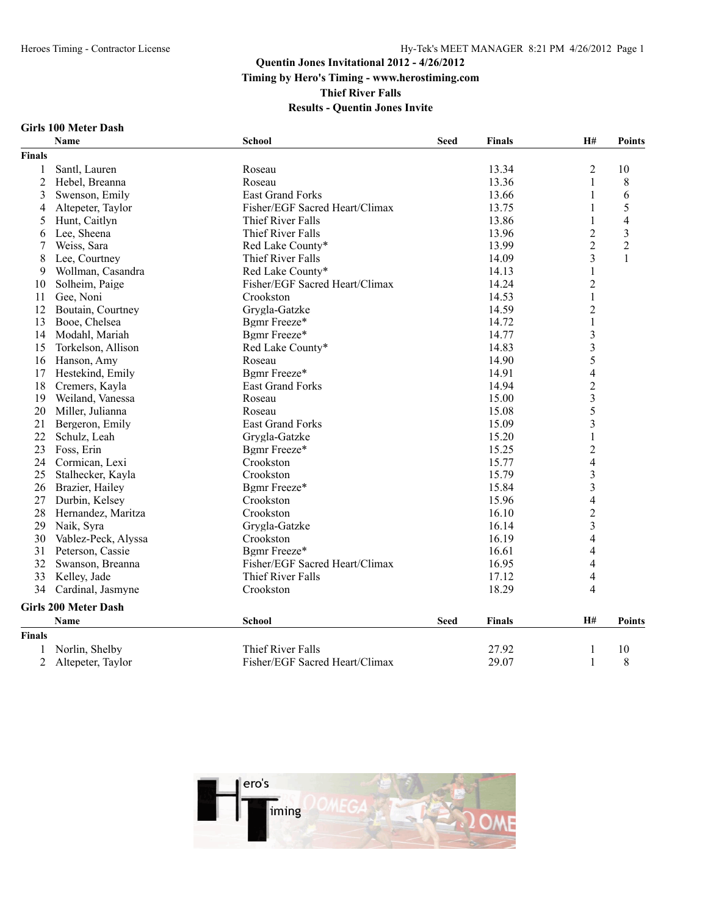**Thief River Falls Results - Quentin Jones Invite**

#### **Girls 100 Meter Dash**

| <b>Finals</b><br>$\overline{2}$<br>Santl, Lauren<br>13.34<br>1<br>Roseau<br>$\overline{c}$<br>13.36<br>1<br>Hebel, Breanna<br>Roseau<br>3<br>Swenson, Emily<br>East Grand Forks<br>13.66<br>1<br>$\overline{4}$<br>Altepeter, Taylor<br>Fisher/EGF Sacred Heart/Climax<br>13.75<br>1<br>13.86<br>$\mathbf{1}$<br>5<br>Hunt, Caitlyn<br>Thief River Falls<br>$\overline{2}$<br>Lee, Sheena<br>Thief River Falls<br>13.96<br>6<br>$\overline{2}$<br>Weiss, Sara<br>Red Lake County*<br>13.99<br>7<br>$\overline{3}$<br>14.09<br>8<br>Lee, Courtney<br>Thief River Falls<br>$\mathbf{1}$<br>Wollman, Casandra<br>Red Lake County*<br>14.13<br>9<br>$\overline{c}$<br>Solheim, Paige<br>Fisher/EGF Sacred Heart/Climax<br>14.24<br>10 | <b>Points</b>  |
|-----------------------------------------------------------------------------------------------------------------------------------------------------------------------------------------------------------------------------------------------------------------------------------------------------------------------------------------------------------------------------------------------------------------------------------------------------------------------------------------------------------------------------------------------------------------------------------------------------------------------------------------------------------------------------------------------------------------------------------|----------------|
|                                                                                                                                                                                                                                                                                                                                                                                                                                                                                                                                                                                                                                                                                                                                   |                |
|                                                                                                                                                                                                                                                                                                                                                                                                                                                                                                                                                                                                                                                                                                                                   | 10             |
|                                                                                                                                                                                                                                                                                                                                                                                                                                                                                                                                                                                                                                                                                                                                   | 8              |
|                                                                                                                                                                                                                                                                                                                                                                                                                                                                                                                                                                                                                                                                                                                                   | 6              |
|                                                                                                                                                                                                                                                                                                                                                                                                                                                                                                                                                                                                                                                                                                                                   | 5              |
|                                                                                                                                                                                                                                                                                                                                                                                                                                                                                                                                                                                                                                                                                                                                   | $\overline{4}$ |
|                                                                                                                                                                                                                                                                                                                                                                                                                                                                                                                                                                                                                                                                                                                                   | $\overline{3}$ |
|                                                                                                                                                                                                                                                                                                                                                                                                                                                                                                                                                                                                                                                                                                                                   | $\sqrt{2}$     |
|                                                                                                                                                                                                                                                                                                                                                                                                                                                                                                                                                                                                                                                                                                                                   | $\mathbf{1}$   |
|                                                                                                                                                                                                                                                                                                                                                                                                                                                                                                                                                                                                                                                                                                                                   |                |
|                                                                                                                                                                                                                                                                                                                                                                                                                                                                                                                                                                                                                                                                                                                                   |                |
| $\mathbf{1}$<br>Gee, Noni<br>Crookston<br>14.53<br>11                                                                                                                                                                                                                                                                                                                                                                                                                                                                                                                                                                                                                                                                             |                |
| $\overline{c}$<br>14.59<br>12<br>Boutain, Courtney<br>Grygla-Gatzke                                                                                                                                                                                                                                                                                                                                                                                                                                                                                                                                                                                                                                                               |                |
| $\mathbf{1}$<br>13<br>Bgmr Freeze*<br>14.72<br>Booe, Chelsea                                                                                                                                                                                                                                                                                                                                                                                                                                                                                                                                                                                                                                                                      |                |
| $\overline{\mathbf{3}}$<br>Bgmr Freeze*<br>14.77<br>14<br>Modahl, Mariah                                                                                                                                                                                                                                                                                                                                                                                                                                                                                                                                                                                                                                                          |                |
| $\overline{\mathbf{3}}$<br>15<br>14.83<br>Torkelson, Allison<br>Red Lake County*                                                                                                                                                                                                                                                                                                                                                                                                                                                                                                                                                                                                                                                  |                |
| 5<br>Hanson, Amy<br>16<br>Roseau<br>14.90                                                                                                                                                                                                                                                                                                                                                                                                                                                                                                                                                                                                                                                                                         |                |
| $\overline{4}$<br>Bgmr Freeze*<br>Hestekind, Emily<br>14.91<br>17                                                                                                                                                                                                                                                                                                                                                                                                                                                                                                                                                                                                                                                                 |                |
| $\overline{c}$<br><b>East Grand Forks</b><br>14.94<br>18<br>Cremers, Kayla                                                                                                                                                                                                                                                                                                                                                                                                                                                                                                                                                                                                                                                        |                |
| $\overline{\mathbf{3}}$<br>15.00<br>19<br>Weiland, Vanessa<br>Roseau                                                                                                                                                                                                                                                                                                                                                                                                                                                                                                                                                                                                                                                              |                |
| 5<br>20<br>Miller, Julianna<br>15.08<br>Roseau                                                                                                                                                                                                                                                                                                                                                                                                                                                                                                                                                                                                                                                                                    |                |
| $\overline{\mathbf{3}}$<br><b>East Grand Forks</b><br>15.09<br>21<br>Bergeron, Emily                                                                                                                                                                                                                                                                                                                                                                                                                                                                                                                                                                                                                                              |                |
| $\mathbf{1}$<br>22<br>Schulz, Leah<br>Grygla-Gatzke<br>15.20                                                                                                                                                                                                                                                                                                                                                                                                                                                                                                                                                                                                                                                                      |                |
| $\overline{c}$<br>23<br>Foss, Erin<br>Bgmr Freeze*<br>15.25                                                                                                                                                                                                                                                                                                                                                                                                                                                                                                                                                                                                                                                                       |                |
| $\overline{\mathcal{L}}$<br>24<br>Cormican, Lexi<br>Crookston<br>15.77                                                                                                                                                                                                                                                                                                                                                                                                                                                                                                                                                                                                                                                            |                |
| 15.79<br>25<br>Stalhecker, Kayla<br>Crookston                                                                                                                                                                                                                                                                                                                                                                                                                                                                                                                                                                                                                                                                                     |                |
| $\frac{3}{3}$<br>Bgmr Freeze*<br>15.84<br>26<br>Brazier, Hailey                                                                                                                                                                                                                                                                                                                                                                                                                                                                                                                                                                                                                                                                   |                |
| $\overline{4}$<br>27<br>Durbin, Kelsey<br>Crookston<br>15.96                                                                                                                                                                                                                                                                                                                                                                                                                                                                                                                                                                                                                                                                      |                |
| $\overline{2}$<br>28<br>Hernandez, Maritza<br>Crookston<br>16.10                                                                                                                                                                                                                                                                                                                                                                                                                                                                                                                                                                                                                                                                  |                |
| $\overline{\mathbf{3}}$<br>29<br>Naik, Syra<br>Grygla-Gatzke<br>16.14                                                                                                                                                                                                                                                                                                                                                                                                                                                                                                                                                                                                                                                             |                |
| $\overline{4}$<br>16.19<br>30<br>Vablez-Peck, Alyssa<br>Crookston                                                                                                                                                                                                                                                                                                                                                                                                                                                                                                                                                                                                                                                                 |                |
| $\overline{4}$<br>31<br>Peterson, Cassie<br>Bgmr Freeze*<br>16.61                                                                                                                                                                                                                                                                                                                                                                                                                                                                                                                                                                                                                                                                 |                |
| Fisher/EGF Sacred Heart/Climax<br>$\overline{4}$<br>32<br>Swanson, Breanna<br>16.95                                                                                                                                                                                                                                                                                                                                                                                                                                                                                                                                                                                                                                               |                |
| Thief River Falls<br>$\overline{4}$<br>33<br>17.12<br>Kelley, Jade                                                                                                                                                                                                                                                                                                                                                                                                                                                                                                                                                                                                                                                                |                |
| $\overline{4}$<br>34<br>Cardinal, Jasmyne<br>Crookston<br>18.29                                                                                                                                                                                                                                                                                                                                                                                                                                                                                                                                                                                                                                                                   |                |
| <b>Girls 200 Meter Dash</b>                                                                                                                                                                                                                                                                                                                                                                                                                                                                                                                                                                                                                                                                                                       |                |
| <b>School</b><br><b>Seed</b><br><b>Finals</b><br>H#<br><b>Name</b>                                                                                                                                                                                                                                                                                                                                                                                                                                                                                                                                                                                                                                                                | <b>Points</b>  |
| <b>Finals</b>                                                                                                                                                                                                                                                                                                                                                                                                                                                                                                                                                                                                                                                                                                                     |                |
| Norlin, Shelby<br>Thief River Falls<br>27.92<br>1                                                                                                                                                                                                                                                                                                                                                                                                                                                                                                                                                                                                                                                                                 | 10             |
| 2<br>Fisher/EGF Sacred Heart/Climax<br>29.07<br>1<br>Altepeter, Taylor                                                                                                                                                                                                                                                                                                                                                                                                                                                                                                                                                                                                                                                            |                |

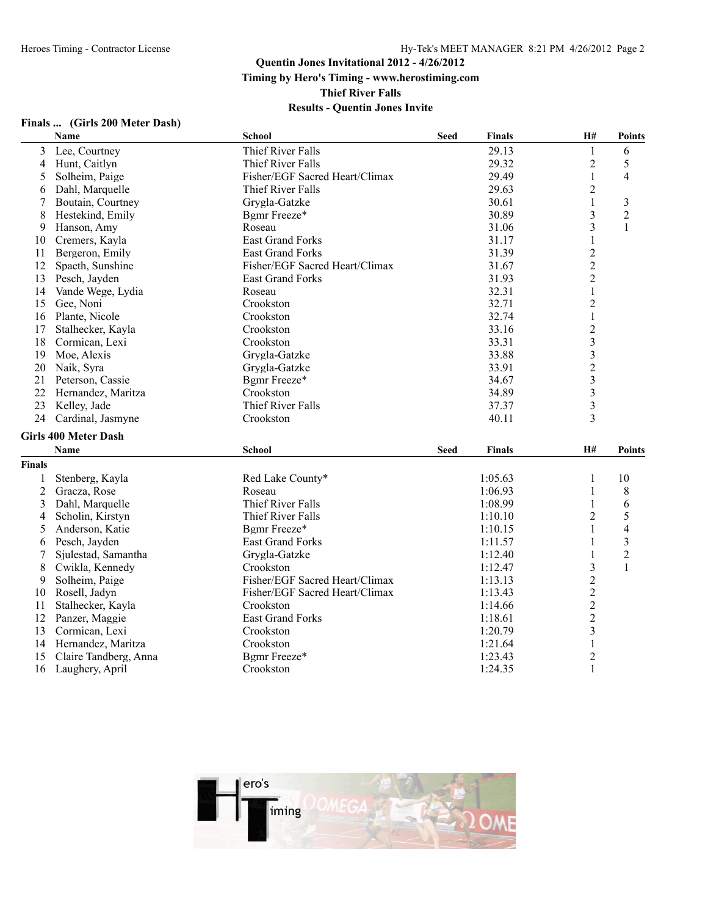**Timing by Hero's Timing - www.herostiming.com**

**Thief River Falls**

|                | Name                        | <b>School</b>                  | <b>Seed</b> | <b>Finals</b> | H#             | <b>Points</b>           |
|----------------|-----------------------------|--------------------------------|-------------|---------------|----------------|-------------------------|
| 3              | Lee, Courtney               | Thief River Falls              |             | 29.13         | $\mathbf{1}$   | 6                       |
| 4              | Hunt, Caitlyn               | Thief River Falls              |             | 29.32         | $\overline{c}$ | 5                       |
| 5              | Solheim, Paige              | Fisher/EGF Sacred Heart/Climax |             | 29.49         | $\mathbf{1}$   | $\overline{4}$          |
| 6              | Dahl, Marquelle             | Thief River Falls              |             | 29.63         | $\overline{2}$ |                         |
| 7              | Boutain, Courtney           | Grygla-Gatzke                  |             | 30.61         | 1              | $\overline{\mathbf{3}}$ |
| 8              | Hestekind, Emily            | Bgmr Freeze*                   |             | 30.89         | 3              | $\overline{c}$          |
| 9              | Hanson, Amy                 | Roseau                         |             | 31.06         | 3              | 1                       |
| 10             | Cremers, Kayla              | East Grand Forks               |             | 31.17         | $\mathbf{1}$   |                         |
| 11             | Bergeron, Emily             | <b>East Grand Forks</b>        |             | 31.39         | $\overline{2}$ |                         |
| 12             | Spaeth, Sunshine            | Fisher/EGF Sacred Heart/Climax |             | 31.67         | $\overline{c}$ |                         |
| 13             | Pesch, Jayden               | <b>East Grand Forks</b>        |             | 31.93         | $\overline{2}$ |                         |
| 14             | Vande Wege, Lydia           | Roseau                         |             | 32.31         | $\mathbf{1}$   |                         |
| 15             | Gee, Noni                   | Crookston                      |             | 32.71         | $\overline{c}$ |                         |
| 16             | Plante, Nicole              | Crookston                      |             | 32.74         | $\mathbf{1}$   |                         |
| 17             | Stalhecker, Kayla           | Crookston                      |             | 33.16         | $\overline{2}$ |                         |
| 18             | Cormican, Lexi              | Crookston                      |             | 33.31         | $\mathfrak{Z}$ |                         |
| 19             | Moe, Alexis                 | Grygla-Gatzke                  |             | 33.88         | 3              |                         |
| 20             | Naik, Syra                  | Grygla-Gatzke                  |             | 33.91         | $\overline{2}$ |                         |
| 21             | Peterson, Cassie            | Bgmr Freeze*                   |             | 34.67         | $\mathfrak{Z}$ |                         |
| 22             | Hernandez, Maritza          | Crookston                      |             | 34.89         | 3              |                         |
| 23             | Kelley, Jade                | Thief River Falls              |             | 37.37         | 3              |                         |
| 24             | Cardinal, Jasmyne           | Crookston                      |             | 40.11         | 3              |                         |
|                | <b>Girls 400 Meter Dash</b> |                                |             |               |                |                         |
|                | Name                        | <b>School</b>                  | <b>Seed</b> | <b>Finals</b> | <b>H#</b>      | <b>Points</b>           |
| <b>Finals</b>  |                             |                                |             |               |                |                         |
|                | Stenberg, Kayla             | Red Lake County*               |             | 1:05.63       | 1              | 10                      |
| $\overline{2}$ | Gracza, Rose                | Roseau                         |             | 1:06.93       | $\mathbf{1}$   | 8                       |
| 3              | Dahl, Marquelle             | Thief River Falls              |             | 1:08.99       | $\mathbf{1}$   | 6                       |
| 4              | Scholin, Kirstyn            | Thief River Falls              |             | 1:10.10       | $\overline{2}$ | 5                       |
| 5              | Anderson, Katie             | Bgmr Freeze*                   |             | 1:10.15       | 1              | 4                       |
| 6              | Pesch, Jayden               | <b>East Grand Forks</b>        |             | 1:11.57       | 1              | 3                       |
| 7              | Sjulestad, Samantha         | Grygla-Gatzke                  |             | 1:12.40       | 1              | $\overline{2}$          |
| 8              | Cwikla, Kennedy             | Crookston                      |             | 1:12.47       | 3              | 1                       |
| 9              | Solheim, Paige              | Fisher/EGF Sacred Heart/Climax |             | 1:13.13       | $\mathbf{2}$   |                         |
| 10             | Rosell, Jadyn               | Fisher/EGF Sacred Heart/Climax |             | 1:13.43       | $\overline{2}$ |                         |
| 11             | Stalhecker, Kayla           | Crookston                      |             | 1:14.66       | $\overline{c}$ |                         |
| 12             | Panzer, Maggie              | <b>East Grand Forks</b>        |             | 1:18.61       | $\overline{2}$ |                         |
| 13             | Cormican, Lexi              | Crookston                      |             | 1:20.79       | $\overline{3}$ |                         |
| 14             | Hernandez, Maritza          | Crookston                      |             | 1:21.64       | $\mathbf{1}$   |                         |
| 15             | Claire Tandberg, Anna       | Bgmr Freeze*                   |             | 1:23.43       | $\overline{c}$ |                         |
| 16             | Laughery, April             | Crookston                      |             | 1:24.35       | $\mathbf{1}$   |                         |
|                |                             |                                |             |               |                |                         |

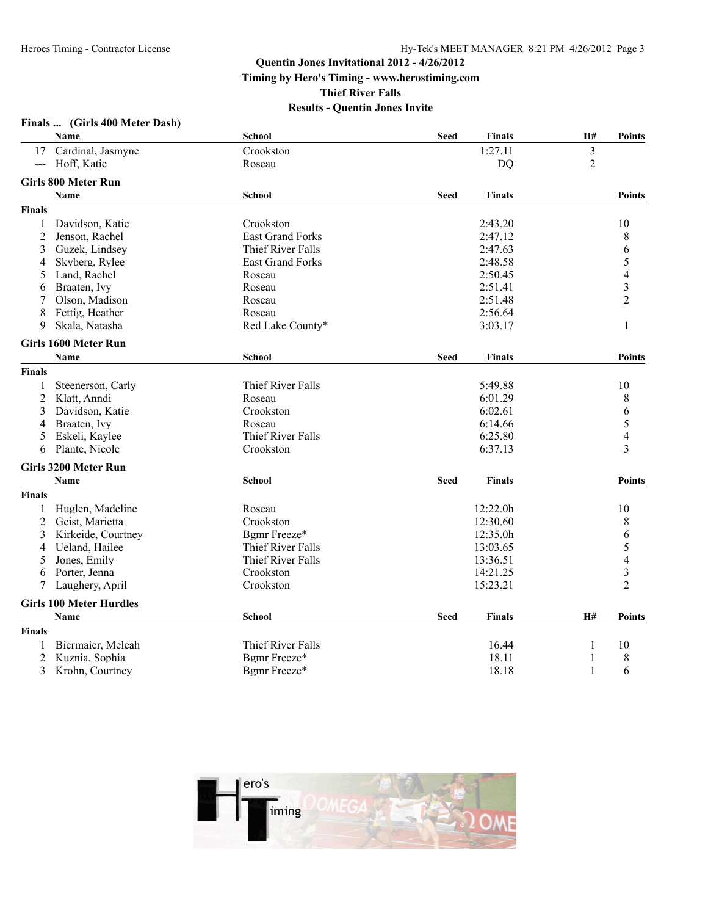**Finals ... (Girls 400 Meter Dash)**

# **Quentin Jones Invitational 2012 - 4/26/2012**

**Timing by Hero's Timing - www.herostiming.com**

**Thief River Falls**

|                | <b>Name</b>                    | <b>School</b>           | <b>Seed</b> | <b>Finals</b> | H#             | <b>Points</b>            |
|----------------|--------------------------------|-------------------------|-------------|---------------|----------------|--------------------------|
| 17             | Cardinal, Jasmyne              | Crookston               |             | 1:27.11       | $\overline{3}$ |                          |
| $---$          | Hoff, Katie                    | Roseau                  |             | <b>DQ</b>     | $\overline{2}$ |                          |
|                | <b>Girls 800 Meter Run</b>     |                         |             |               |                |                          |
|                | <b>Name</b>                    | <b>School</b>           | <b>Seed</b> | <b>Finals</b> |                | <b>Points</b>            |
| <b>Finals</b>  |                                |                         |             |               |                |                          |
| 1              | Davidson, Katie                | Crookston               |             | 2:43.20       |                | 10                       |
| 2              | Jenson, Rachel                 | <b>East Grand Forks</b> |             | 2:47.12       |                | 8                        |
| 3              | Guzek, Lindsey                 | Thief River Falls       |             | 2:47.63       |                | 6                        |
| 4              | Skyberg, Rylee                 | East Grand Forks        |             | 2:48.58       |                | 5                        |
| 5              | Land, Rachel                   | Roseau                  |             | 2:50.45       |                | $\overline{\mathcal{L}}$ |
| 6              | Braaten, Ivy                   | Roseau                  |             | 2:51.41       |                | $\overline{\mathbf{3}}$  |
|                | Olson, Madison                 | Roseau                  |             | 2:51.48       |                | $\overline{2}$           |
| 8              | Fettig, Heather                | Roseau                  |             | 2:56.64       |                |                          |
| 9              | Skala, Natasha                 | Red Lake County*        |             | 3:03.17       |                | 1                        |
|                | Girls 1600 Meter Run           |                         |             |               |                |                          |
|                | <b>Name</b>                    | School                  | <b>Seed</b> | <b>Finals</b> |                | <b>Points</b>            |
| <b>Finals</b>  |                                |                         |             |               |                |                          |
| 1              | Steenerson, Carly              | Thief River Falls       |             | 5:49.88       |                | 10                       |
| $\overline{2}$ | Klatt, Anndi                   | Roseau                  |             | 6:01.29       |                | 8                        |
| 3              | Davidson, Katie                | Crookston               |             | 6:02.61       |                | 6                        |
| 4              | Braaten, Ivy                   | Roseau                  |             | 6:14.66       |                | 5                        |
| 5              | Eskeli, Kaylee                 | Thief River Falls       |             | 6:25.80       |                | $\overline{\mathbf{4}}$  |
| 6              | Plante, Nicole                 | Crookston               |             | 6:37.13       |                | 3                        |
|                | <b>Girls 3200 Meter Run</b>    |                         |             |               |                |                          |
|                | <b>Name</b>                    | <b>School</b>           | <b>Seed</b> | <b>Finals</b> |                | Points                   |
| <b>Finals</b>  |                                |                         |             |               |                |                          |
| 1              | Huglen, Madeline               | Roseau                  |             | 12:22.0h      |                | 10                       |
| 2              | Geist, Marietta                | Crookston               |             | 12:30.60      |                | 8                        |
| 3              | Kirkeide, Courtney             | Bgmr Freeze*            |             | 12:35.0h      |                | 6                        |
| 4              | Ueland, Hailee                 | Thief River Falls       |             | 13:03.65      |                | 5                        |
| 5              | Jones, Emily                   | Thief River Falls       |             | 13:36.51      |                | $\overline{\mathbf{4}}$  |
| 6              | Porter, Jenna                  | Crookston               |             | 14:21.25      |                | $\overline{\mathbf{3}}$  |
| 7              | Laughery, April                | Crookston               |             | 15:23.21      |                | $\overline{2}$           |
|                | <b>Girls 100 Meter Hurdles</b> |                         |             |               |                |                          |
|                | <b>Name</b>                    | <b>School</b>           | <b>Seed</b> | <b>Finals</b> | <b>H#</b>      | <b>Points</b>            |
| <b>Finals</b>  |                                |                         |             |               |                |                          |
| 1              | Biermaier, Meleah              | Thief River Falls       |             | 16.44         | 1              | 10                       |
| 2              | Kuznia, Sophia                 | Bgmr Freeze*            |             | 18.11         | 1              | 8                        |
| 3              | Krohn, Courtney                | Bgmr Freeze*            |             | 18.18         | $\mathbf{1}$   | 6                        |

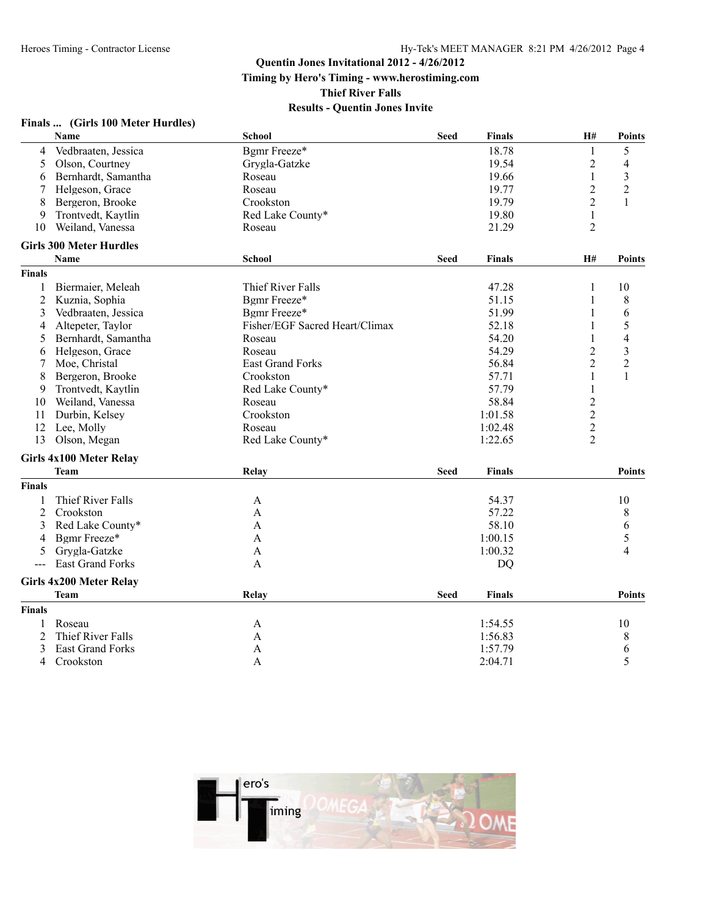**Finals ... (Girls 100 Meter Hurdles)**

#### **Quentin Jones Invitational 2012 - 4/26/2012**

**Timing by Hero's Timing - www.herostiming.com**

**Thief River Falls**

|                      | Name                           | <b>School</b>                  | <b>Seed</b> | <b>Finals</b> | H#             | <b>Points</b>  |
|----------------------|--------------------------------|--------------------------------|-------------|---------------|----------------|----------------|
| 4                    | Vedbraaten, Jessica            | Bgmr Freeze*                   |             | 18.78         | 1              | 5              |
| 5                    | Olson, Courtney                | Grygla-Gatzke                  |             | 19.54         | 2              | 4              |
| 6                    | Bernhardt, Samantha            | Roseau                         |             | 19.66         | 1              | 3              |
| 7                    | Helgeson, Grace                | Roseau                         |             | 19.77         | $\overline{c}$ | $\overline{2}$ |
| 8                    | Bergeron, Brooke               | Crookston                      |             | 19.79         | $\overline{2}$ | $\mathbf{1}$   |
| 9                    | Trontvedt, Kaytlin             | Red Lake County*               |             | 19.80         | $\mathbf{1}$   |                |
| 10                   | Weiland, Vanessa               | Roseau                         |             | 21.29         | $\overline{2}$ |                |
|                      | <b>Girls 300 Meter Hurdles</b> |                                |             |               |                |                |
|                      | Name                           | <b>School</b>                  | <b>Seed</b> | <b>Finals</b> | H#             | <b>Points</b>  |
| <b>Finals</b>        |                                |                                |             |               |                |                |
| 1                    | Biermaier, Meleah              | Thief River Falls              |             | 47.28         | 1              | 10             |
| 2                    | Kuznia, Sophia                 | Bgmr Freeze*                   |             | 51.15         | 1              | 8              |
| 3                    | Vedbraaten, Jessica            | Bgmr Freeze*                   |             | 51.99         | 1              | 6              |
| 4                    | Altepeter, Taylor              | Fisher/EGF Sacred Heart/Climax |             | 52.18         | 1              | 5              |
| 5                    | Bernhardt, Samantha            | Roseau                         |             | 54.20         | $\mathbf{1}$   | $\overline{4}$ |
| 6                    | Helgeson, Grace                | Roseau                         |             | 54.29         | $\mathbf{2}$   | 3              |
| 7                    | Moe, Christal                  | <b>East Grand Forks</b>        |             | 56.84         | $\overline{c}$ | $\overline{2}$ |
| 8                    | Bergeron, Brooke               | Crookston                      |             | 57.71         | 1              | 1              |
| 9                    | Trontvedt, Kaytlin             | Red Lake County*               |             | 57.79         | $\mathbf{1}$   |                |
| 10                   | Weiland, Vanessa               | Roseau                         |             | 58.84         | $\overline{c}$ |                |
| 11                   | Durbin, Kelsey                 | Crookston                      |             | 1:01.58       | $\overline{2}$ |                |
| 12                   | Lee, Molly                     | Roseau                         |             | 1:02.48       | $\overline{c}$ |                |
| 13                   | Olson, Megan                   | Red Lake County*               |             | 1:22.65       | $\overline{2}$ |                |
|                      | Girls 4x100 Meter Relay        |                                |             |               |                |                |
|                      | <b>Team</b>                    | Relay                          | <b>Seed</b> | <b>Finals</b> |                | <b>Points</b>  |
| <b>Finals</b>        |                                |                                |             |               |                |                |
| 1                    | Thief River Falls              | A                              |             | 54.37         |                | 10             |
| 2                    | Crookston                      | A                              |             | 57.22         |                | 8              |
| 3                    | Red Lake County*               | A                              |             | 58.10         |                | 6              |
| 4                    | Bgmr Freeze*                   | A                              |             | 1:00.15       |                | 5              |
| 5                    | Grygla-Gatzke                  | A                              |             | 1:00.32       |                | 4              |
| $\sim$ $\sim$ $\sim$ | <b>East Grand Forks</b>        | A                              |             | <b>DQ</b>     |                |                |
|                      | Girls 4x200 Meter Relay        |                                |             |               |                |                |
|                      | <b>Team</b>                    | Relay                          | <b>Seed</b> | <b>Finals</b> |                | <b>Points</b>  |
| <b>Finals</b>        |                                |                                |             |               |                |                |
| 1                    | Roseau                         | A                              |             | 1:54.55       |                | 10             |
| 2                    | Thief River Falls              | A                              |             | 1:56.83       |                | 8              |
| 3                    | <b>East Grand Forks</b>        | A                              |             | 1:57.79       |                | 6              |
| 4                    | Crookston                      | A                              |             | 2:04.71       |                | 5              |

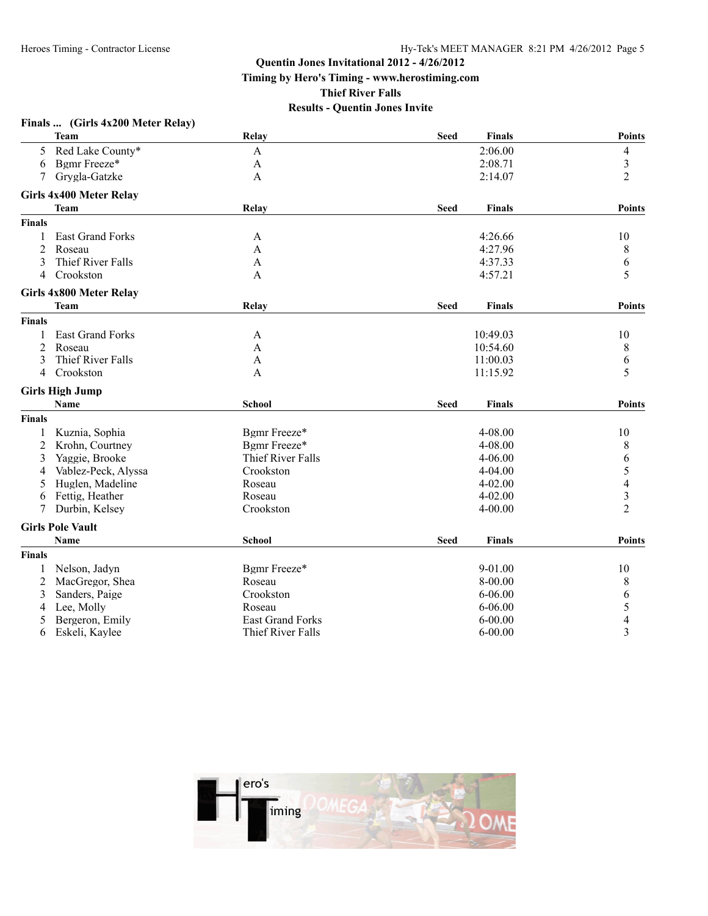**Timing by Hero's Timing - www.herostiming.com**

**Thief River Falls**

|                | Finals  (Girls 4x200 Meter Relay) |                         |             |               |                         |
|----------------|-----------------------------------|-------------------------|-------------|---------------|-------------------------|
|                | Team                              | Relay                   | <b>Seed</b> | <b>Finals</b> | <b>Points</b>           |
| 5.             | Red Lake County*                  | A                       |             | 2:06.00       | 4                       |
| 6              | Bgmr Freeze*                      | A                       |             | 2:08.71       | 3                       |
| 7              | Grygla-Gatzke                     | A                       |             | 2:14.07       | $\overline{2}$          |
|                | <b>Girls 4x400 Meter Relay</b>    |                         |             |               |                         |
|                | <b>Team</b>                       | Relay                   | Seed        | <b>Finals</b> | <b>Points</b>           |
| <b>Finals</b>  |                                   |                         |             |               |                         |
| 1              | East Grand Forks                  | A                       |             | 4:26.66       | 10                      |
| 2              | Roseau                            | A                       |             | 4:27.96       | 8                       |
| 3              | Thief River Falls                 | A                       |             | 4:37.33       | 6                       |
| 4              | Crookston                         | A                       |             | 4:57.21       | 5                       |
|                | Girls 4x800 Meter Relay           |                         |             |               |                         |
|                | Team                              | Relay                   | Seed        | <b>Finals</b> | <b>Points</b>           |
| Finals         |                                   |                         |             |               |                         |
| 1              | East Grand Forks                  | A                       |             | 10:49.03      | 10                      |
| 2              | Roseau                            | A                       |             | 10:54.60      | 8                       |
| 3              | Thief River Falls                 | A                       |             | 11:00.03      | 6                       |
| $\overline{4}$ | Crookston                         | A                       |             | 11:15.92      | 5                       |
|                | <b>Girls High Jump</b>            |                         |             |               |                         |
|                | <b>Name</b>                       | School                  | Seed        | <b>Finals</b> | <b>Points</b>           |
| Finals         |                                   |                         |             |               |                         |
| 1              | Kuznia, Sophia                    | Bgmr Freeze*            |             | 4-08.00       | 10                      |
| 2              | Krohn, Courtney                   | Bgmr Freeze*            |             | 4-08.00       | 8                       |
| 3              | Yaggie, Brooke                    | Thief River Falls       |             | 4-06.00       | 6                       |
| 4              | Vablez-Peck, Alyssa               | Crookston               |             | $4 - 04.00$   | 5                       |
| 5              | Huglen, Madeline                  | Roseau                  |             | $4 - 02.00$   | $\overline{\mathbf{4}}$ |
| 6              | Fettig, Heather                   | Roseau                  |             | $4 - 02.00$   | $\overline{\mathbf{3}}$ |
| 7              | Durbin, Kelsey                    | Crookston               |             | 4-00.00       | $\overline{2}$          |
|                | <b>Girls Pole Vault</b>           |                         |             |               |                         |
|                | <b>Name</b>                       | <b>School</b>           | <b>Seed</b> | <b>Finals</b> | <b>Points</b>           |
| Finals         |                                   |                         |             |               |                         |
| 1              | Nelson, Jadyn                     | Bgmr Freeze*            |             | 9-01.00       | 10                      |
| 2              | MacGregor, Shea                   | Roseau                  |             | 8-00.00       | 8                       |
| 3              | Sanders, Paige                    | Crookston               |             | 6-06.00       | 6                       |
| 4              | Lee, Molly                        | Roseau                  |             | $6 - 06.00$   | 5                       |
| 5              | Bergeron, Emily                   | <b>East Grand Forks</b> |             | $6 - 00.00$   | $\overline{4}$          |
| 6              | Eskeli, Kaylee                    | Thief River Falls       |             | $6 - 00.00$   | $\overline{3}$          |

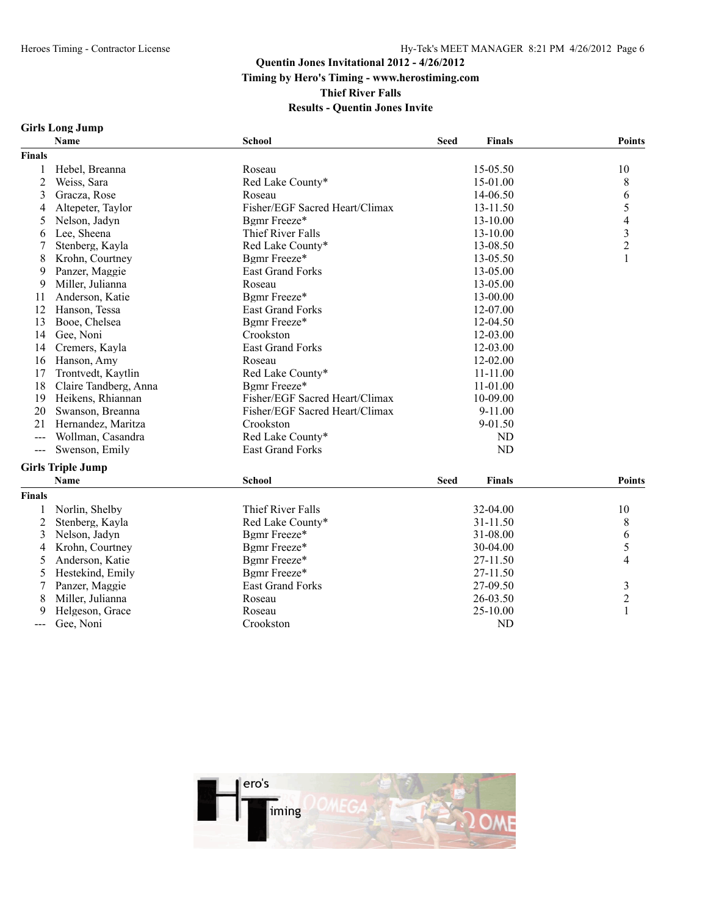#### **Results - Quentin Jones Invite**

#### **Girls Long Jump**

|                     | Name                     | <b>School</b>                  | <b>Seed</b> | <b>Finals</b> | <b>Points</b>            |
|---------------------|--------------------------|--------------------------------|-------------|---------------|--------------------------|
| <b>Finals</b>       |                          |                                |             |               |                          |
| 1                   | Hebel, Breanna           | Roseau                         |             | 15-05.50      | 10                       |
| $\overline{c}$      | Weiss, Sara              | Red Lake County*               |             | 15-01.00      | 8                        |
| 3                   | Gracza, Rose             | Roseau                         |             | 14-06.50      | 6                        |
| 4                   | Altepeter, Taylor        | Fisher/EGF Sacred Heart/Climax |             | 13-11.50      | 5                        |
| 5                   | Nelson, Jadyn            | Bgmr Freeze*                   |             | 13-10.00      | $\overline{\mathcal{L}}$ |
| 6                   | Lee, Sheena              | Thief River Falls              |             | 13-10.00      |                          |
| 7                   | Stenberg, Kayla          | Red Lake County*               |             | 13-08.50      | $\frac{3}{2}$            |
| 8                   | Krohn, Courtney          | Bgmr Freeze*                   |             | 13-05.50      | $\mathbf{1}$             |
| 9                   | Panzer, Maggie           | <b>East Grand Forks</b>        |             | 13-05.00      |                          |
| 9                   | Miller, Julianna         | Roseau                         |             | 13-05.00      |                          |
| 11                  | Anderson, Katie          | Bgmr Freeze*                   |             | 13-00.00      |                          |
| 12                  | Hanson, Tessa            | East Grand Forks               |             | 12-07.00      |                          |
| 13                  | Booe, Chelsea            | Bgmr Freeze*                   |             | 12-04.50      |                          |
| 14                  | Gee, Noni                | Crookston                      |             | 12-03.00      |                          |
| 14                  | Cremers, Kayla           | <b>East Grand Forks</b>        |             | 12-03.00      |                          |
| 16                  | Hanson, Amy              | Roseau                         |             | 12-02.00      |                          |
| 17                  | Trontvedt, Kaytlin       | Red Lake County*               |             | $11 - 11.00$  |                          |
| 18                  | Claire Tandberg, Anna    | Bgmr Freeze*                   |             | 11-01.00      |                          |
| 19                  | Heikens, Rhiannan        | Fisher/EGF Sacred Heart/Climax |             | 10-09.00      |                          |
| 20                  | Swanson, Breanna         | Fisher/EGF Sacred Heart/Climax |             | 9-11.00       |                          |
| 21                  | Hernandez, Maritza       | Crookston                      |             | 9-01.50       |                          |
| $\frac{1}{2}$       | Wollman, Casandra        | Red Lake County*               |             | <b>ND</b>     |                          |
| $---$               | Swenson, Emily           | <b>East Grand Forks</b>        |             | <b>ND</b>     |                          |
|                     | <b>Girls Triple Jump</b> |                                |             |               |                          |
|                     | <b>Name</b>              | <b>School</b>                  | <b>Seed</b> | <b>Finals</b> | <b>Points</b>            |
| <b>Finals</b>       |                          |                                |             |               |                          |
| 1                   | Norlin, Shelby           | Thief River Falls              |             | 32-04.00      | 10                       |
| $\overline{c}$      | Stenberg, Kayla          | Red Lake County*               |             | 31-11.50      | 8                        |
| 3                   | Nelson, Jadyn            | Bgmr Freeze*                   |             | 31-08.00      | 6                        |
| 4                   | Krohn, Courtney          | Bgmr Freeze*                   |             | 30-04.00      | 5                        |
| 5                   | Anderson, Katie          | Bgmr Freeze*                   |             | 27-11.50      | 4                        |
| 5                   | Hestekind, Emily         | Bgmr Freeze*                   |             | 27-11.50      |                          |
| 7                   | Panzer, Maggie           | <b>East Grand Forks</b>        |             | 27-09.50      | $\mathfrak{Z}$           |
| 8                   | Miller, Julianna         | Roseau                         |             | 26-03.50      | $\overline{c}$           |
| 9                   | Helgeson, Grace          | Roseau                         |             | 25-10.00      | $\mathbf{1}$             |
|                     | Gee, Noni                | Crookston                      |             | ND            |                          |
| $\qquad \qquad - -$ |                          |                                |             |               |                          |

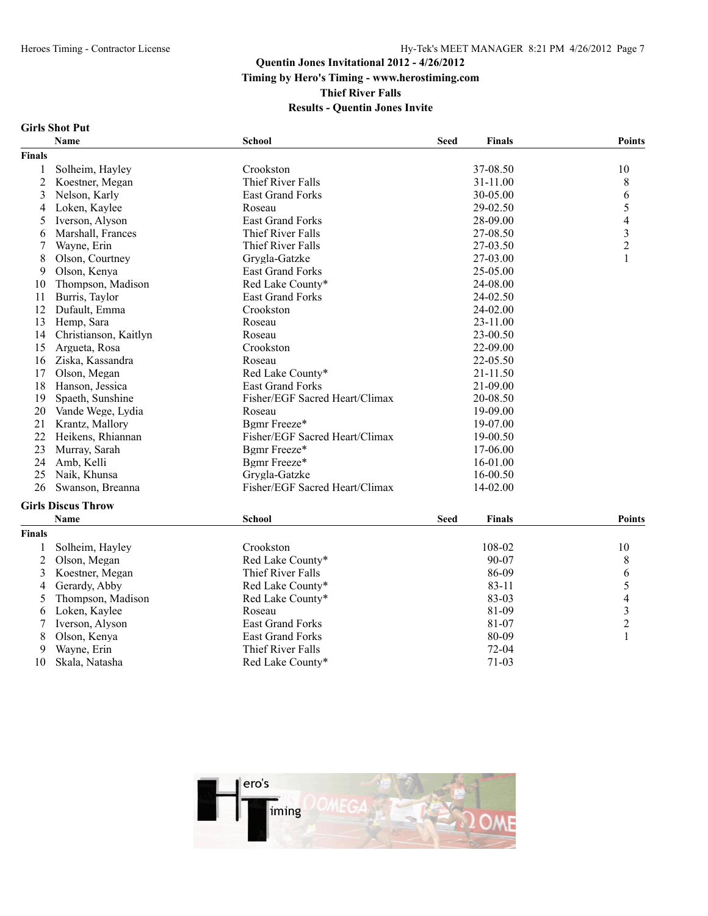#### Heroes Timing - Contractor License Hy-Tek's MEET MANAGER 8:21 PM 4/26/2012 Page 7

# **Quentin Jones Invitational 2012 - 4/26/2012 Timing by Hero's Timing - www.herostiming.com Thief River Falls**

### **Results - Quentin Jones Invite**

#### **Girls Shot Put**

|                | <b>Name</b>               | <b>School</b>                  | <b>Seed</b> | <b>Finals</b> | <b>Points</b>       |
|----------------|---------------------------|--------------------------------|-------------|---------------|---------------------|
| Finals         |                           |                                |             |               |                     |
| 1              | Solheim, Hayley           | Crookston                      |             | 37-08.50      | 10                  |
| $\overline{c}$ | Koestner, Megan           | Thief River Falls              |             | 31-11.00      | 8                   |
| 3              | Nelson, Karly             | <b>East Grand Forks</b>        |             | 30-05.00      | 6                   |
| 4              | Loken, Kaylee             | Roseau                         |             | 29-02.50      | 5                   |
| 5              | Iverson, Alyson           | <b>East Grand Forks</b>        |             | 28-09.00      | $\overline{4}$      |
| 6              | Marshall, Frances         | Thief River Falls              |             | 27-08.50      | 3                   |
| 7              | Wayne, Erin               | Thief River Falls              |             | 27-03.50      | $\overline{c}$      |
| 8              | Olson, Courtney           | Grygla-Gatzke                  |             | 27-03.00      | 1                   |
| 9              | Olson, Kenya              | <b>East Grand Forks</b>        |             | 25-05.00      |                     |
| 10             | Thompson, Madison         | Red Lake County*               |             | 24-08.00      |                     |
| 11             | Burris, Taylor            | <b>East Grand Forks</b>        |             | 24-02.50      |                     |
| 12             | Dufault, Emma             | Crookston                      |             | 24-02.00      |                     |
| 13             | Hemp, Sara                | Roseau                         |             | 23-11.00      |                     |
| 14             | Christianson, Kaitlyn     | Roseau                         |             | 23-00.50      |                     |
| 15             | Argueta, Rosa             | Crookston                      |             | 22-09.00      |                     |
| 16             | Ziska, Kassandra          | Roseau                         |             | 22-05.50      |                     |
| 17             | Olson, Megan              | Red Lake County*               |             | 21-11.50      |                     |
| 18             | Hanson, Jessica           | <b>East Grand Forks</b>        |             | 21-09.00      |                     |
| 19             | Spaeth, Sunshine          | Fisher/EGF Sacred Heart/Climax |             | 20-08.50      |                     |
| 20             | Vande Wege, Lydia         | Roseau                         |             | 19-09.00      |                     |
| 21             | Krantz, Mallory           | Bgmr Freeze*                   |             | 19-07.00      |                     |
| 22             | Heikens, Rhiannan         | Fisher/EGF Sacred Heart/Climax |             | 19-00.50      |                     |
| 23             | Murray, Sarah             | Bgmr Freeze*                   |             | 17-06.00      |                     |
| 24             | Amb, Kelli                | Bgmr Freeze*                   |             | 16-01.00      |                     |
| 25             | Naik, Khunsa              | Grygla-Gatzke                  |             | 16-00.50      |                     |
| 26             | Swanson, Breanna          | Fisher/EGF Sacred Heart/Climax |             | 14-02.00      |                     |
|                | <b>Girls Discus Throw</b> |                                |             |               |                     |
|                | Name                      | School                         | <b>Seed</b> | <b>Finals</b> | Points              |
| <b>Finals</b>  |                           |                                |             |               |                     |
| 1              | Solheim, Hayley           | Crookston                      |             | 108-02        | 10                  |
| $\overline{2}$ | Olson, Megan              | Red Lake County*               |             | 90-07         | 8                   |
| 3              | Koestner, Megan           | Thief River Falls              |             | 86-09         |                     |
| 4              | Gerardy, Abby             | Red Lake County*               |             | $83 - 11$     | 6<br>5              |
| 5              | Thompson, Madison         | Red Lake County*               |             | 83-03         | $\overline{4}$      |
|                |                           |                                |             | 81-09         |                     |
| 6              | Loken, Kaylee             | Roseau                         |             |               | 3<br>$\overline{2}$ |
| 7              | Iverson, Alyson           | <b>East Grand Forks</b>        |             | 81-07         |                     |

7 Iverson, Alyson East Grand Forks 81-07 2<br>
8 Olson, Kenya East Grand Forks 80-09 1

- 8 Olson, Kenya East Grand Forks<br>9 Wayne, Erin Thief River Falls
- 
- Skala, Natasha Red Lake County\* 71-03



Thief River Falls 72-04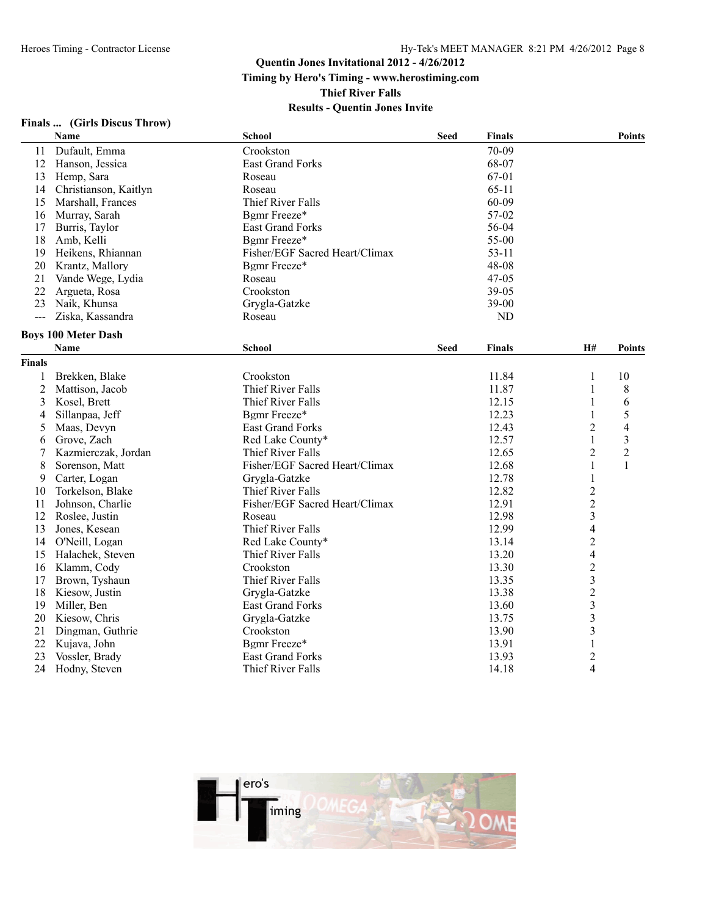**Timing by Hero's Timing - www.herostiming.com**

**Thief River Falls**

|  | Finals | (Girls Discus Throw) |  |
|--|--------|----------------------|--|
|--|--------|----------------------|--|

|                | <b>Name</b>                | <b>School</b>                  | <b>Seed</b> | <b>Finals</b> |                          | <b>Points</b>  |
|----------------|----------------------------|--------------------------------|-------------|---------------|--------------------------|----------------|
| 11             | Dufault, Emma              | Crookston                      |             | 70-09         |                          |                |
| 12             | Hanson, Jessica            | East Grand Forks               |             | 68-07         |                          |                |
| 13             | Hemp, Sara                 | Roseau                         |             | 67-01         |                          |                |
| 14             | Christianson, Kaitlyn      | Roseau                         |             | $65-11$       |                          |                |
| 15             | Marshall, Frances          | Thief River Falls              |             | 60-09         |                          |                |
| 16             | Murray, Sarah              | Bgmr Freeze*                   |             | 57-02         |                          |                |
| 17             | Burris, Taylor             | <b>East Grand Forks</b>        |             | 56-04         |                          |                |
| 18             | Amb, Kelli                 | Bgmr Freeze*                   |             | 55-00         |                          |                |
| 19             | Heikens, Rhiannan          | Fisher/EGF Sacred Heart/Climax |             | $53 - 11$     |                          |                |
| 20             | Krantz, Mallory            | Bgmr Freeze*                   |             | 48-08         |                          |                |
| 21             | Vande Wege, Lydia          | Roseau                         |             | 47-05         |                          |                |
| 22             | Argueta, Rosa              | Crookston                      |             | 39-05         |                          |                |
| 23             | Naik, Khunsa               | Grygla-Gatzke                  |             | $39 - 00$     |                          |                |
| $\overline{a}$ | Ziska, Kassandra           | Roseau                         |             | <b>ND</b>     |                          |                |
|                | <b>Boys 100 Meter Dash</b> |                                |             |               |                          |                |
|                | Name                       | <b>School</b>                  | <b>Seed</b> | Finals        | H#                       | <b>Points</b>  |
| <b>Finals</b>  |                            |                                |             |               |                          |                |
| 1              | Brekken, Blake             | Crookston                      |             | 11.84         | $\mathbf{1}$             | 10             |
| $\overline{2}$ | Mattison, Jacob            | Thief River Falls              |             | 11.87         | $\mathbf{1}$             | 8              |
| 3              | Kosel, Brett               | Thief River Falls              |             | 12.15         | 1                        | 6              |
| 4              | Sillanpaa, Jeff            | Bgmr Freeze*                   |             | 12.23         | $\mathbf{1}$             | 5              |
| 5              | Maas, Devyn                | <b>East Grand Forks</b>        |             | 12.43         | $\overline{c}$           | 4              |
| 6              | Grove, Zach                | Red Lake County*               |             | 12.57         | 1                        | 3              |
| 7              | Kazmierczak, Jordan        | Thief River Falls              |             | 12.65         | $\overline{c}$           | $\overline{2}$ |
| 8              | Sorenson, Matt             | Fisher/EGF Sacred Heart/Climax |             | 12.68         | 1                        | $\mathbf{1}$   |
| 9              | Carter, Logan              | Grygla-Gatzke                  |             | 12.78         | $\mathbf{1}$             |                |
| 10             | Torkelson, Blake           | <b>Thief River Falls</b>       |             | 12.82         | $\overline{c}$           |                |
| 11             | Johnson, Charlie           | Fisher/EGF Sacred Heart/Climax |             | 12.91         | $\overline{c}$           |                |
| 12             | Roslee, Justin             | Roseau                         |             | 12.98         | $\overline{\mathbf{3}}$  |                |
| 13             | Jones, Kesean              | Thief River Falls              |             | 12.99         | $\overline{\mathcal{L}}$ |                |
| 14             | O'Neill, Logan             | Red Lake County*               |             | 13.14         | $\overline{c}$           |                |
| 15             | Halachek, Steven           | Thief River Falls              |             | 13.20         | $\overline{4}$           |                |
| 16             | Klamm, Cody                | Crookston                      |             | 13.30         | $\overline{c}$           |                |
| 17             | Brown, Tyshaun             | Thief River Falls              |             | 13.35         | $\overline{\mathbf{3}}$  |                |
| 18             | Kiesow, Justin             | Grygla-Gatzke                  |             | 13.38         | $\overline{c}$           |                |
| 19             | Miller, Ben                | <b>East Grand Forks</b>        |             | 13.60         | $\overline{\mathbf{3}}$  |                |
| 20             | Kiesow, Chris              | Grygla-Gatzke                  |             | 13.75         | 3                        |                |
| 21             | Dingman, Guthrie           | Crookston                      |             | 13.90         | 3                        |                |
| 22             | Kujava, John               | Bgmr Freeze*                   |             | 13.91         | $\mathbf{1}$             |                |
| 23             | Vossler, Brady             | <b>East Grand Forks</b>        |             | 13.93         | $\overline{2}$           |                |
| 24             | Hodny, Steven              | Thief River Falls              |             | 14.18         | $\overline{4}$           |                |
|                |                            |                                |             |               |                          |                |

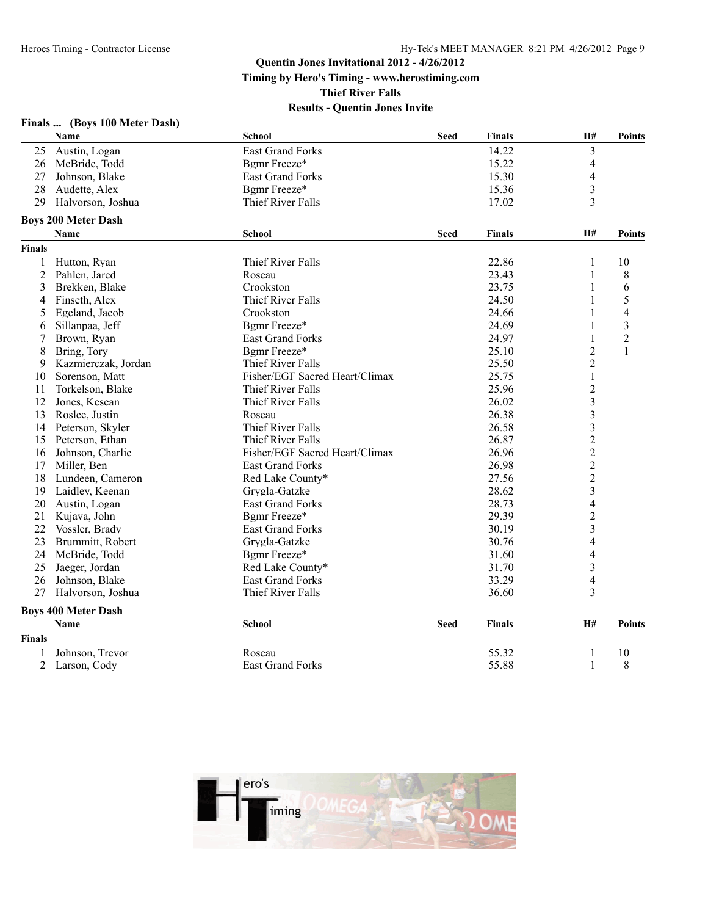**Thief River Falls**

|               | Finals  (Boys 100 Meter Dash) |                                |             |               |                         |                         |
|---------------|-------------------------------|--------------------------------|-------------|---------------|-------------------------|-------------------------|
|               | Name                          | School                         | <b>Seed</b> | Finals        | H#                      | <b>Points</b>           |
| 25            | Austin, Logan                 | <b>East Grand Forks</b>        |             | 14.22         | 3                       |                         |
| 26            | McBride, Todd                 | Bgmr Freeze*                   |             | 15.22         | $\overline{4}$          |                         |
| 27            | Johnson, Blake                | <b>East Grand Forks</b>        |             | 15.30         | 4                       |                         |
| 28            | Audette, Alex                 | Bgmr Freeze*                   |             | 15.36         | $\overline{\mathbf{3}}$ |                         |
| 29            | Halvorson, Joshua             | Thief River Falls              |             | 17.02         | $\overline{3}$          |                         |
|               | <b>Boys 200 Meter Dash</b>    |                                |             |               |                         |                         |
|               | Name                          | <b>School</b>                  | <b>Seed</b> | <b>Finals</b> | H#                      | <b>Points</b>           |
| <b>Finals</b> |                               |                                |             |               |                         |                         |
| 1             | Hutton, Ryan                  | Thief River Falls              |             | 22.86         | 1                       | 10                      |
| 2             | Pahlen, Jared                 | Roseau                         |             | 23.43         | $\mathbf{1}$            | 8                       |
| 3             | Brekken, Blake                | Crookston                      |             | 23.75         | 1                       | 6                       |
| 4             | Finseth, Alex                 | Thief River Falls              |             | 24.50         | 1                       | 5                       |
| 5             | Egeland, Jacob                | Crookston                      |             | 24.66         | 1                       | $\overline{4}$          |
| 6             | Sillanpaa, Jeff               | Bgmr Freeze*                   |             | 24.69         | 1                       | $\overline{\mathbf{3}}$ |
| 7             | Brown, Ryan                   | <b>East Grand Forks</b>        |             | 24.97         | 1                       | $\overline{2}$          |
| 8             | Bring, Tory                   | Bgmr Freeze*                   |             | 25.10         | $\overline{c}$          | 1                       |
| 9             | Kazmierczak, Jordan           | Thief River Falls              |             | 25.50         | $\overline{c}$          |                         |
| 10            | Sorenson, Matt                | Fisher/EGF Sacred Heart/Climax |             | 25.75         | $\mathbf{1}$            |                         |
| 11            | Torkelson, Blake              | Thief River Falls              |             | 25.96         | $\overline{c}$          |                         |
| 12            | Jones, Kesean                 | Thief River Falls              |             | 26.02         | $\overline{\mathbf{3}}$ |                         |
| 13            | Roslee, Justin                | Roseau                         |             | 26.38         | $\overline{\mathbf{3}}$ |                         |
| 14            | Peterson, Skyler              | Thief River Falls              |             | 26.58         | $\overline{\mathbf{3}}$ |                         |
| 15            | Peterson, Ethan               | Thief River Falls              |             | 26.87         | $\overline{c}$          |                         |
| 16            | Johnson, Charlie              | Fisher/EGF Sacred Heart/Climax |             | 26.96         | $\frac{2}{2}$           |                         |
| 17            | Miller, Ben                   | <b>East Grand Forks</b>        |             | 26.98         |                         |                         |
| 18            | Lundeen, Cameron              | Red Lake County*               |             | 27.56         | $\overline{c}$          |                         |
| 19            | Laidley, Keenan               | Grygla-Gatzke                  |             | 28.62         | $\overline{3}$          |                         |
| 20            | Austin, Logan                 | <b>East Grand Forks</b>        |             | 28.73         | $\overline{4}$          |                         |
| 21            | Kujava, John                  | Bgmr Freeze*                   |             | 29.39         | $\overline{c}$          |                         |
| 22            | Vossler, Brady                | <b>East Grand Forks</b>        |             | 30.19         | $\overline{3}$          |                         |
| 23            | Brummitt, Robert              | Grygla-Gatzke                  |             | 30.76         | $\overline{4}$          |                         |
| 24            | McBride, Todd                 | Bgmr Freeze*                   |             | 31.60         | 4                       |                         |
| 25            | Jaeger, Jordan                | Red Lake County*               |             | 31.70         | $\overline{\mathbf{3}}$ |                         |
| 26            | Johnson, Blake                | East Grand Forks               |             | 33.29         | $\overline{4}$          |                         |
| 27            | Halvorson, Joshua             | Thief River Falls              |             | 36.60         | 3                       |                         |
|               | <b>Boys 400 Meter Dash</b>    |                                |             |               |                         |                         |
|               | <b>Name</b>                   | School                         | <b>Seed</b> | <b>Finals</b> | <b>H#</b>               | <b>Points</b>           |
| <b>Finals</b> |                               |                                |             |               |                         |                         |
| 1             | Johnson, Trevor               | Roseau                         |             | 55.32         | $\mathbf{1}$            | 10                      |
| 2             | Larson, Cody                  | <b>East Grand Forks</b>        |             | 55.88         | $\mathbf{1}$            | 8                       |

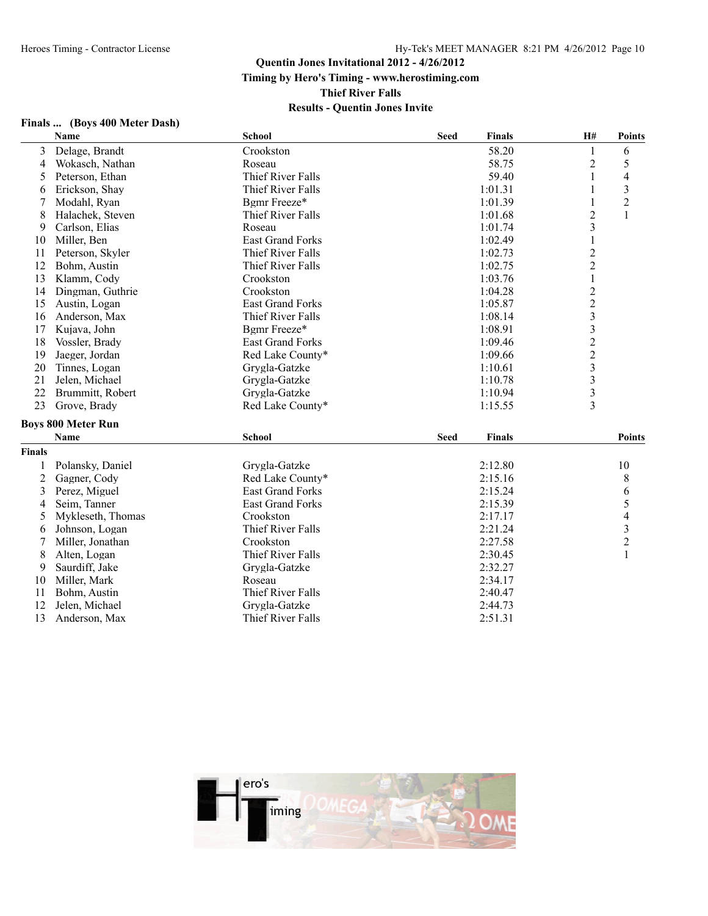**Thief River Falls**

| Finals  (Boys 400 Meter Dash) |      |  |  |
|-------------------------------|------|--|--|
|                               | Name |  |  |

|        | Name                      | School                  | <b>Seed</b> | <b>Finals</b> | H#                      | <b>Points</b>           |
|--------|---------------------------|-------------------------|-------------|---------------|-------------------------|-------------------------|
| 3      | Delage, Brandt            | Crookston               |             | 58.20         | $\mathbf{1}$            | 6                       |
| 4      | Wokasch, Nathan           | Roseau                  |             | 58.75         | $\boldsymbol{2}$        | 5                       |
| 5      | Peterson, Ethan           | Thief River Falls       |             | 59.40         | 1                       | 4                       |
| 6      | Erickson, Shay            | Thief River Falls       |             | 1:01.31       | 1                       | 3                       |
| 7      | Modahl, Ryan              | Bgmr Freeze*            |             | 1:01.39       | 1                       | $\overline{c}$          |
| 8      | Halachek, Steven          | Thief River Falls       |             | 1:01.68       | $\overline{c}$          | $\mathbf{1}$            |
| 9      | Carlson, Elias            | Roseau                  |             | 1:01.74       | $\overline{\mathbf{3}}$ |                         |
| 10     | Miller, Ben               | <b>East Grand Forks</b> |             | 1:02.49       | $\,1\,$                 |                         |
| 11     | Peterson, Skyler          | Thief River Falls       |             | 1:02.73       | $\overline{c}$          |                         |
| 12     | Bohm, Austin              | Thief River Falls       |             | 1:02.75       | $\overline{c}$          |                         |
| 13     | Klamm, Cody               | Crookston               |             | 1:03.76       | $\mathbf{1}$            |                         |
| 14     | Dingman, Guthrie          | Crookston               |             | 1:04.28       | $\overline{c}$          |                         |
| 15     | Austin, Logan             | <b>East Grand Forks</b> |             | 1:05.87       | $\overline{c}$          |                         |
| 16     | Anderson, Max             | Thief River Falls       |             | 1:08.14       | $\overline{\mathbf{3}}$ |                         |
| 17     | Kujava, John              | Bgmr Freeze*            |             | 1:08.91       | $\overline{\mathbf{3}}$ |                         |
| 18     | Vossler, Brady            | <b>East Grand Forks</b> |             | 1:09.46       | $\overline{c}$          |                         |
| 19     | Jaeger, Jordan            | Red Lake County*        |             | 1:09.66       | $\overline{c}$          |                         |
| 20     | Tinnes, Logan             | Grygla-Gatzke           |             | 1:10.61       | $\overline{\mathbf{3}}$ |                         |
| 21     | Jelen, Michael            | Grygla-Gatzke           |             | 1:10.78       | $\overline{\mathbf{3}}$ |                         |
| 22     | Brummitt, Robert          | Grygla-Gatzke           |             | 1:10.94       | 3                       |                         |
| 23     | Grove, Brady              | Red Lake County*        |             | 1:15.55       | 3                       |                         |
|        | <b>Boys 800 Meter Run</b> |                         |             |               |                         |                         |
|        | Name                      | <b>School</b>           | <b>Seed</b> | <b>Finals</b> |                         | <b>Points</b>           |
| Finals |                           |                         |             |               |                         |                         |
| 1      | Polansky, Daniel          | Grygla-Gatzke           |             | 2:12.80       |                         | 10                      |
| 2      | Gagner, Cody              | Red Lake County*        |             | 2:15.16       |                         | 8                       |
| 3      | Perez, Miguel             | <b>East Grand Forks</b> |             | 2:15.24       |                         | 6                       |
| 4      | Seim, Tanner              | <b>East Grand Forks</b> |             | 2:15.39       |                         | 5                       |
| 5      | Mykleseth, Thomas         | Crookston               |             | 2:17.17       |                         | $\overline{4}$          |
| 6      | Johnson, Logan            | Thief River Falls       |             | 2:21.24       |                         | $\overline{\mathbf{3}}$ |
| 7      | Miller, Jonathan          | Crookston               |             | 2:27.58       |                         | $\overline{c}$          |
| 8      | Alten, Logan              | Thief River Falls       |             | 2:30.45       |                         | $\mathbf{1}$            |
| 9      | Saurdiff, Jake            | Grygla-Gatzke           |             | 2:32.27       |                         |                         |
| 10     | Miller, Mark              | Roseau                  |             | 2:34.17       |                         |                         |
| 11     | Bohm, Austin              | Thief River Falls       |             | 2:40.47       |                         |                         |
| 12     | Jelen, Michael            | Grygla-Gatzke           |             | 2:44.73       |                         |                         |
| 13     | Anderson, Max             | Thief River Falls       |             | 2:51.31       |                         |                         |
|        |                           |                         |             |               |                         |                         |

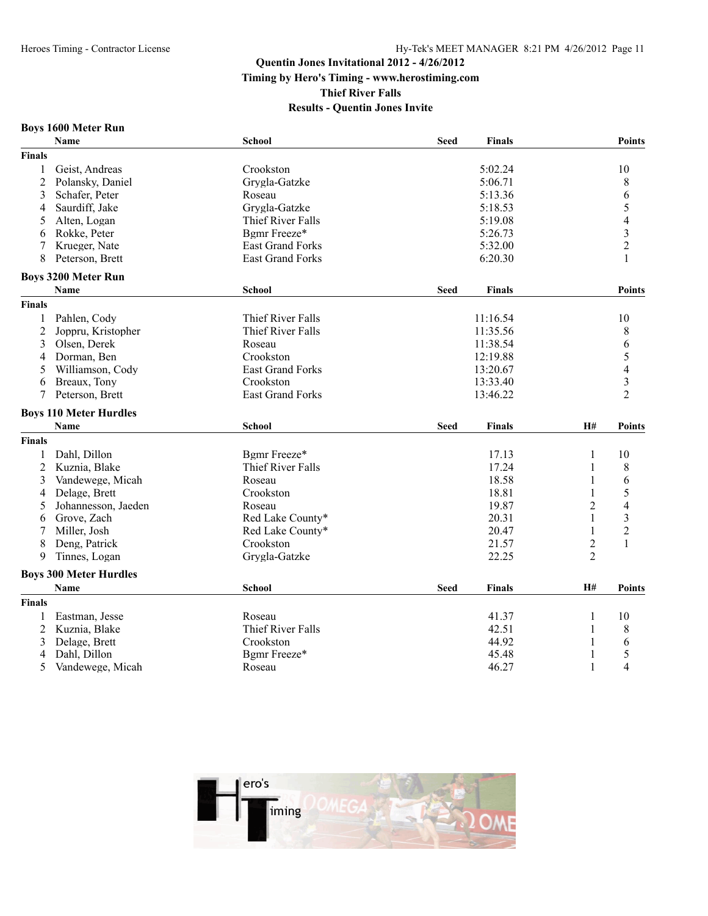### **Results - Quentin Jones Invite**

#### **Boys 1600 Meter Run**

|                | <b>Name</b>                   | <b>School</b>            | <b>Seed</b> | <b>Finals</b> |                | <b>Points</b>            |
|----------------|-------------------------------|--------------------------|-------------|---------------|----------------|--------------------------|
| <b>Finals</b>  |                               |                          |             |               |                |                          |
| 1              | Geist, Andreas                | Crookston                |             | 5:02.24       |                | 10                       |
| $\overline{2}$ | Polansky, Daniel              | Grygla-Gatzke            |             | 5:06.71       |                | $\,$ $\,$                |
| 3              | Schafer, Peter                | Roseau                   |             | 5:13.36       |                | 6                        |
| 4              | Saurdiff, Jake                | Grygla-Gatzke            |             | 5:18.53       |                | 5                        |
| 5              | Alten, Logan                  | Thief River Falls        |             | 5:19.08       |                | $\overline{\mathcal{L}}$ |
| 6              | Rokke, Peter                  | Bgmr Freeze*             |             | 5:26.73       |                | $\overline{\mathbf{3}}$  |
|                | Krueger, Nate                 | East Grand Forks         |             | 5:32.00       |                | $\overline{2}$           |
| 8              | Peterson, Brett               | <b>East Grand Forks</b>  |             | 6:20.30       |                | 1                        |
|                | <b>Boys 3200 Meter Run</b>    |                          |             |               |                |                          |
|                | <b>Name</b>                   | School                   | <b>Seed</b> | Finals        |                | <b>Points</b>            |
| <b>Finals</b>  |                               |                          |             |               |                |                          |
| 1              | Pahlen, Cody                  | Thief River Falls        |             | 11:16.54      |                | 10                       |
| $\overline{c}$ | Joppru, Kristopher            | <b>Thief River Falls</b> |             | 11:35.56      |                | 8                        |
| 3              | Olsen, Derek                  | Roseau                   |             | 11:38.54      |                | 6                        |
| 4              | Dorman, Ben                   | Crookston                |             | 12:19.88      |                | 5                        |
| 5              | Williamson, Cody              | <b>East Grand Forks</b>  |             | 13:20.67      |                | 4                        |
| 6              | Breaux, Tony                  | Crookston                |             | 13:33.40      |                | $\overline{\mathbf{3}}$  |
| 7              | Peterson, Brett               | <b>East Grand Forks</b>  |             | 13:46.22      |                | $\overline{2}$           |
|                | <b>Boys 110 Meter Hurdles</b> |                          |             |               |                |                          |
|                | <b>Name</b>                   | <b>School</b>            | <b>Seed</b> | <b>Finals</b> | H#             | <b>Points</b>            |
| <b>Finals</b>  |                               |                          |             |               |                |                          |
| 1              | Dahl, Dillon                  | Bgmr Freeze*             |             | 17.13         | 1              | 10                       |
| $\overline{c}$ | Kuznia, Blake                 | Thief River Falls        |             | 17.24         | 1              | 8                        |
| 3              | Vandewege, Micah              | Roseau                   |             | 18.58         | 1              | 6                        |
| 4              | Delage, Brett                 | Crookston                |             | 18.81         | 1              | 5                        |
| 5              | Johannesson, Jaeden           | Roseau                   |             | 19.87         | 2              | 4                        |
| 6              | Grove, Zach                   | Red Lake County*         |             | 20.31         | 1              | 3                        |
| 7              | Miller, Josh                  | Red Lake County*         |             | 20.47         | $\mathbf{1}$   | $\overline{2}$           |
| 8              | Deng, Patrick                 | Crookston                |             | 21.57         | $\overline{c}$ | $\mathbf{1}$             |
| 9              | Tinnes, Logan                 | Grygla-Gatzke            |             | 22.25         | $\overline{2}$ |                          |
|                | <b>Boys 300 Meter Hurdles</b> |                          |             |               |                |                          |
|                | <b>Name</b>                   | <b>School</b>            | <b>Seed</b> | Finals        | H#             | <b>Points</b>            |
| <b>Finals</b>  |                               |                          |             |               |                |                          |
| 1              | Eastman, Jesse                | Roseau                   |             | 41.37         | 1              | 10                       |
| $\overline{2}$ | Kuznia, Blake                 | Thief River Falls        |             | 42.51         | 1              | 8                        |
| 3              | Delage, Brett                 | Crookston                |             | 44.92         |                | 6                        |
| 4              | Dahl, Dillon                  | Bgmr Freeze*             |             | 45.48         | 1              | 5                        |
| 5              | Vandewege, Micah              | Roseau                   |             | 46.27         | 1              | 4                        |

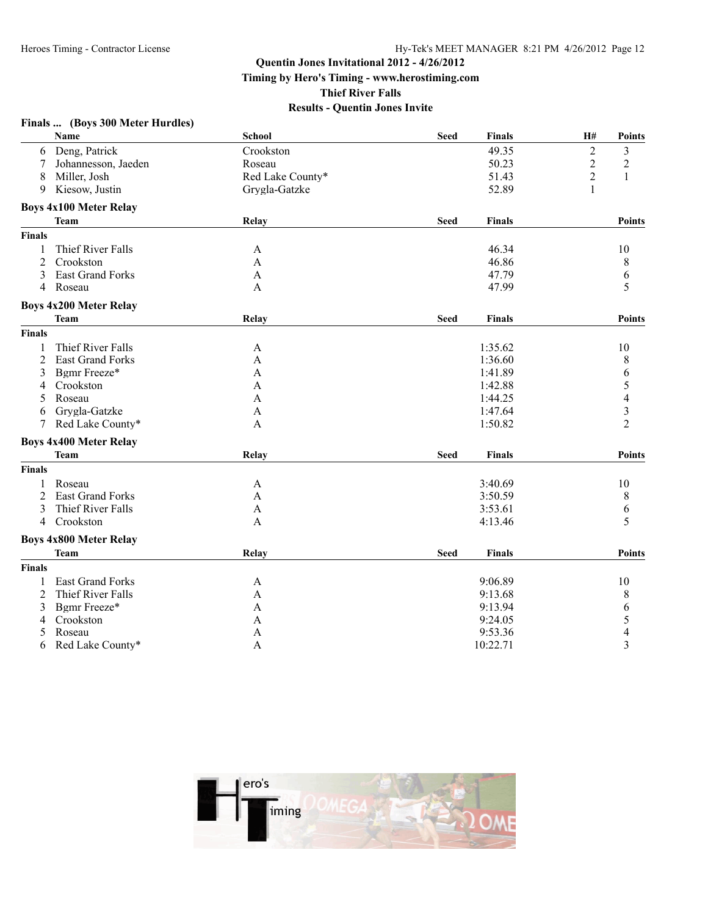**Timing by Hero's Timing - www.herostiming.com**

**Thief River Falls**

|                | Finals  (Boys 300 Meter Hurdles) |                  |             |               |                  |                  |
|----------------|----------------------------------|------------------|-------------|---------------|------------------|------------------|
|                | Name                             | <b>School</b>    | <b>Seed</b> | <b>Finals</b> | H#               | <b>Points</b>    |
|                | 6 Deng, Patrick                  | Crookston        |             | 49.35         | $\overline{2}$   | 3                |
| 7              | Johannesson, Jaeden              | Roseau           |             | 50.23         | $\boldsymbol{2}$ | $\overline{c}$   |
| 8              | Miller, Josh                     | Red Lake County* |             | 51.43         | $\overline{2}$   | $\mathbf{1}$     |
| 9              | Kiesow, Justin                   | Grygla-Gatzke    |             | 52.89         | $\mathbf{1}$     |                  |
|                | <b>Boys 4x100 Meter Relay</b>    |                  |             |               |                  |                  |
|                | <b>Team</b>                      | Relay            | <b>Seed</b> | <b>Finals</b> |                  | <b>Points</b>    |
| Finals         |                                  |                  |             |               |                  |                  |
| 1              | Thief River Falls                | A                |             | 46.34         |                  | 10               |
| 2              | Crookston                        | A                |             | 46.86         |                  | 8                |
| 3              | <b>East Grand Forks</b>          | A                |             | 47.79         |                  | 6                |
| $\overline{4}$ | Roseau                           | A                |             | 47.99         |                  | 5                |
|                | <b>Boys 4x200 Meter Relay</b>    |                  |             |               |                  |                  |
|                | <b>Team</b>                      | Relay            | <b>Seed</b> | <b>Finals</b> |                  | Points           |
| Finals         |                                  |                  |             |               |                  |                  |
| 1              | Thief River Falls                | A                |             | 1:35.62       |                  | 10               |
| 2              | East Grand Forks                 | A                |             | 1:36.60       |                  | 8                |
| 3              | Bgmr Freeze*                     | A                |             | 1:41.89       |                  | $\boldsymbol{6}$ |
| 4              | Crookston                        | A                |             | 1:42.88       |                  | 5                |
| 5              | Roseau                           | A                |             | 1:44.25       |                  | $\overline{4}$   |
| 6              | Grygla-Gatzke                    | A                |             | 1:47.64       |                  | $\overline{3}$   |
| 7              | Red Lake County*                 | A                |             | 1:50.82       |                  | $\overline{2}$   |
|                | <b>Boys 4x400 Meter Relay</b>    |                  |             |               |                  |                  |
|                | <b>Team</b>                      | Relay            | <b>Seed</b> | <b>Finals</b> |                  | <b>Points</b>    |
| Finals         |                                  |                  |             |               |                  |                  |
| $\mathbf{1}$   | Roseau                           | A                |             | 3:40.69       |                  | 10               |
| 2              | East Grand Forks                 | A                |             | 3:50.59       |                  | 8                |
| 3              | Thief River Falls                | A                |             | 3:53.61       |                  | 6                |
| 4              | Crookston                        | A                |             | 4:13.46       |                  | 5                |
|                | <b>Boys 4x800 Meter Relay</b>    |                  |             |               |                  |                  |
|                | <b>Team</b>                      | <b>Relay</b>     | <b>Seed</b> | Finals        |                  | <b>Points</b>    |
| <b>Finals</b>  |                                  |                  |             |               |                  |                  |
| 1              | <b>East Grand Forks</b>          | A                |             | 9:06.89       |                  | 10               |
| 2              | Thief River Falls                | A                |             | 9:13.68       |                  | 8                |
| 3              | Bgmr Freeze*                     | A                |             | 9:13.94       |                  | 6                |
| 4              | Crookston                        | A                |             | 9:24.05       |                  | 5                |
| 5              | Roseau                           | A                |             | 9:53.36       |                  | $\overline{4}$   |
| 6              | Red Lake County*                 | A                |             | 10:22.71      |                  | $\overline{3}$   |

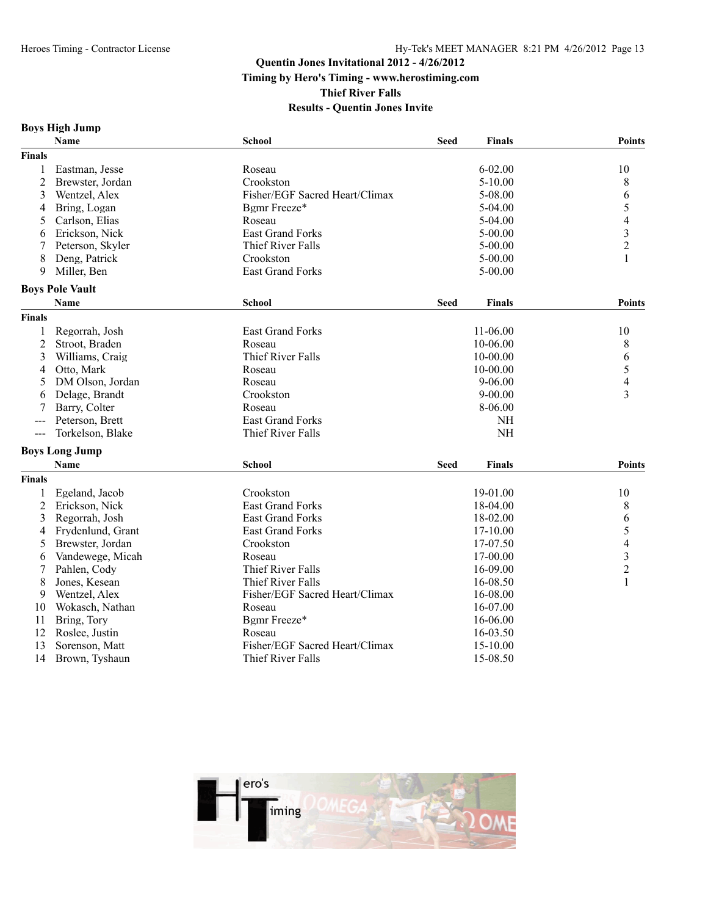**Thief River Falls**

|  |  | <b>Boys High Jump</b> |
|--|--|-----------------------|
|--|--|-----------------------|

|                     | Name                   | School                         | <b>Seed</b> | <b>Finals</b> | <b>Points</b>            |
|---------------------|------------------------|--------------------------------|-------------|---------------|--------------------------|
| <b>Finals</b>       |                        |                                |             |               |                          |
| 1                   | Eastman, Jesse         | Roseau                         |             | $6 - 02.00$   | 10                       |
| 2                   | Brewster, Jordan       | Crookston                      |             | $5 - 10.00$   | 8                        |
| 3                   | Wentzel, Alex          | Fisher/EGF Sacred Heart/Climax |             | 5-08.00       | 6                        |
| 4                   | Bring, Logan           | Bgmr Freeze*                   |             | $5-04.00$     | 5                        |
| 5                   | Carlson, Elias         | Roseau                         |             | $5-04.00$     | 4                        |
| 6                   | Erickson, Nick         | <b>East Grand Forks</b>        |             | $5 - 00.00$   | $\overline{\mathbf{3}}$  |
| 7                   | Peterson, Skyler       | Thief River Falls              |             | $5 - 00.00$   | $\overline{c}$           |
| 8                   | Deng, Patrick          | Crookston                      |             | $5 - 00.00$   |                          |
| 9                   | Miller, Ben            | <b>East Grand Forks</b>        |             | $5 - 00.00$   |                          |
|                     | <b>Boys Pole Vault</b> |                                |             |               |                          |
|                     | Name                   | School                         | <b>Seed</b> | <b>Finals</b> | <b>Points</b>            |
| Finals              |                        |                                |             |               |                          |
| 1                   | Regorrah, Josh         | <b>East Grand Forks</b>        |             | 11-06.00      | 10                       |
| $\overline{c}$      | Stroot, Braden         | Roseau                         |             | 10-06.00      | 8                        |
| 3                   | Williams, Craig        | Thief River Falls              |             | 10-00.00      | 6                        |
| 4                   | Otto, Mark             | Roseau                         |             | 10-00.00      | 5                        |
| 5                   | DM Olson, Jordan       | Roseau                         |             | $9 - 06.00$   | 4                        |
| 6                   | Delage, Brandt         | Crookston                      |             | $9 - 00.00$   | 3                        |
| 7                   | Barry, Colter          | Roseau                         |             | 8-06.00       |                          |
| $\qquad \qquad - -$ | Peterson, Brett        | <b>East Grand Forks</b>        |             | <b>NH</b>     |                          |
| $---$               | Torkelson, Blake       | Thief River Falls              |             | NH            |                          |
|                     | <b>Boys Long Jump</b>  |                                |             |               |                          |
|                     | Name                   | School                         | <b>Seed</b> | <b>Finals</b> | <b>Points</b>            |
| <b>Finals</b>       |                        |                                |             |               |                          |
| 1                   | Egeland, Jacob         | Crookston                      |             | 19-01.00      | 10                       |
| $\overline{2}$      | Erickson, Nick         | <b>East Grand Forks</b>        |             | 18-04.00      | 8                        |
| 3                   | Regorrah, Josh         | <b>East Grand Forks</b>        |             | 18-02.00      | 6                        |
| 4                   | Frydenlund, Grant      | East Grand Forks               |             | 17-10.00      | 5                        |
| 5                   | Brewster, Jordan       | Crookston                      |             | 17-07.50      | $\overline{\mathcal{L}}$ |
| 6                   | Vandewege, Micah       | Roseau                         |             | 17-00.00      | 3                        |
| 7                   | Pahlen, Cody           | Thief River Falls              |             | 16-09.00      | $\overline{c}$           |
| 8                   | Jones, Kesean          | Thief River Falls              |             | 16-08.50      | 1                        |
| 9                   | Wentzel, Alex          | Fisher/EGF Sacred Heart/Climax |             | 16-08.00      |                          |
| 10                  | Wokasch, Nathan        | Roseau                         |             | 16-07.00      |                          |
| 11                  | Bring, Tory            | Bgmr Freeze*                   |             | 16-06.00      |                          |
| 12                  | Roslee, Justin         | Roseau                         |             | 16-03.50      |                          |
| 13                  | Sorenson, Matt         | Fisher/EGF Sacred Heart/Climax |             | 15-10.00      |                          |
| 14                  | Brown, Tyshaun         | Thief River Falls              |             | 15-08.50      |                          |

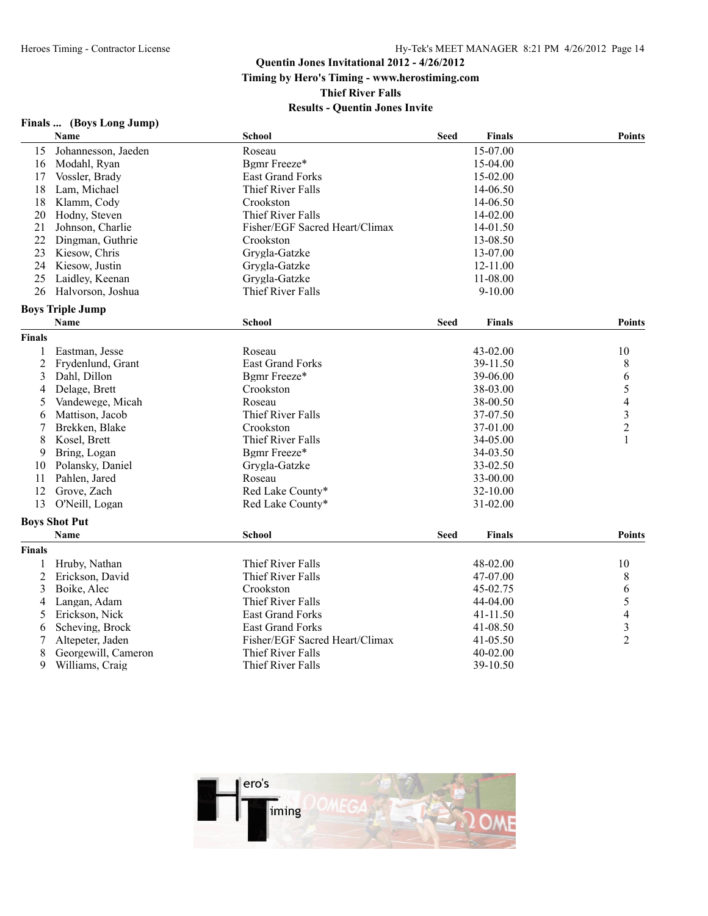**Timing by Hero's Timing - www.herostiming.com**

**Thief River Falls**

| Finals | (Boys Long Jump) |
|--------|------------------|
|--------|------------------|

|                | <b>Name</b>             | <b>School</b>                  | <b>Seed</b> | <b>Finals</b> | <b>Points</b>            |
|----------------|-------------------------|--------------------------------|-------------|---------------|--------------------------|
| 15             | Johannesson, Jaeden     | Roseau                         |             | 15-07.00      |                          |
| 16             | Modahl, Ryan            | Bgmr Freeze*                   |             | 15-04.00      |                          |
| 17             | Vossler, Brady          | <b>East Grand Forks</b>        |             | 15-02.00      |                          |
| 18             | Lam, Michael            | Thief River Falls              |             | 14-06.50      |                          |
| 18             | Klamm, Cody             | Crookston                      |             | 14-06.50      |                          |
| 20             | Hodny, Steven           | Thief River Falls              |             | 14-02.00      |                          |
| 21             | Johnson, Charlie        | Fisher/EGF Sacred Heart/Climax |             | 14-01.50      |                          |
| 22             | Dingman, Guthrie        | Crookston                      |             | 13-08.50      |                          |
| 23             | Kiesow, Chris           | Grygla-Gatzke                  |             | 13-07.00      |                          |
| 24             | Kiesow, Justin          | Grygla-Gatzke                  |             | 12-11.00      |                          |
| 25             | Laidley, Keenan         | Grygla-Gatzke                  |             | 11-08.00      |                          |
| 26             | Halvorson, Joshua       | Thief River Falls              |             | $9 - 10.00$   |                          |
|                | <b>Boys Triple Jump</b> |                                |             |               |                          |
|                | Name                    | <b>School</b>                  | <b>Seed</b> | <b>Finals</b> | Points                   |
| <b>Finals</b>  |                         |                                |             |               |                          |
| $\mathbf{1}$   | Eastman, Jesse          | Roseau                         |             | 43-02.00      | 10                       |
| $\overline{c}$ | Frydenlund, Grant       | <b>East Grand Forks</b>        |             | 39-11.50      | 8                        |
| 3              | Dahl, Dillon            | Bgmr Freeze*                   |             | 39-06.00      | 6                        |
| 4              | Delage, Brett           | Crookston                      |             | 38-03.00      | 5                        |
| 5              | Vandewege, Micah        | Roseau                         |             | 38-00.50      | $\overline{\mathbf{4}}$  |
| 6              | Mattison, Jacob         | Thief River Falls              |             | 37-07.50      | $\frac{3}{2}$            |
| 7              | Brekken, Blake          | Crookston                      |             | 37-01.00      |                          |
| 8              | Kosel, Brett            | Thief River Falls              |             | 34-05.00      | $\mathbf{1}$             |
| 9              | Bring, Logan            | Bgmr Freeze*                   |             | 34-03.50      |                          |
| 10             | Polansky, Daniel        | Grygla-Gatzke                  |             | 33-02.50      |                          |
| 11             | Pahlen, Jared           | Roseau                         |             | 33-00.00      |                          |
| 12             | Grove, Zach             | Red Lake County*               |             | 32-10.00      |                          |
| 13             | O'Neill, Logan          | Red Lake County*               |             | 31-02.00      |                          |
|                | <b>Boys Shot Put</b>    |                                |             |               |                          |
|                | <b>Name</b>             | <b>School</b>                  | <b>Seed</b> | <b>Finals</b> | <b>Points</b>            |
| <b>Finals</b>  |                         |                                |             |               |                          |
| 1              | Hruby, Nathan           | Thief River Falls              |             | 48-02.00      | 10                       |
| $\overline{2}$ | Erickson, David         | Thief River Falls              |             | 47-07.00      | 8                        |
| 3              | Boike, Alec             | Crookston                      |             | 45-02.75      | 6                        |
| 4              | Langan, Adam            | Thief River Falls              |             | 44-04.00      | 5                        |
| 5              | Erickson, Nick          | <b>East Grand Forks</b>        |             | 41-11.50      | $\overline{\mathcal{A}}$ |
| 6              | Scheving, Brock         | <b>East Grand Forks</b>        |             | 41-08.50      | $\frac{3}{2}$            |
| 7              | Altepeter, Jaden        | Fisher/EGF Sacred Heart/Climax |             | 41-05.50      |                          |
| 8              | Georgewill, Cameron     | Thief River Falls              |             | 40-02.00      |                          |
| 9              | Williams, Craig         | Thief River Falls              |             | 39-10.50      |                          |

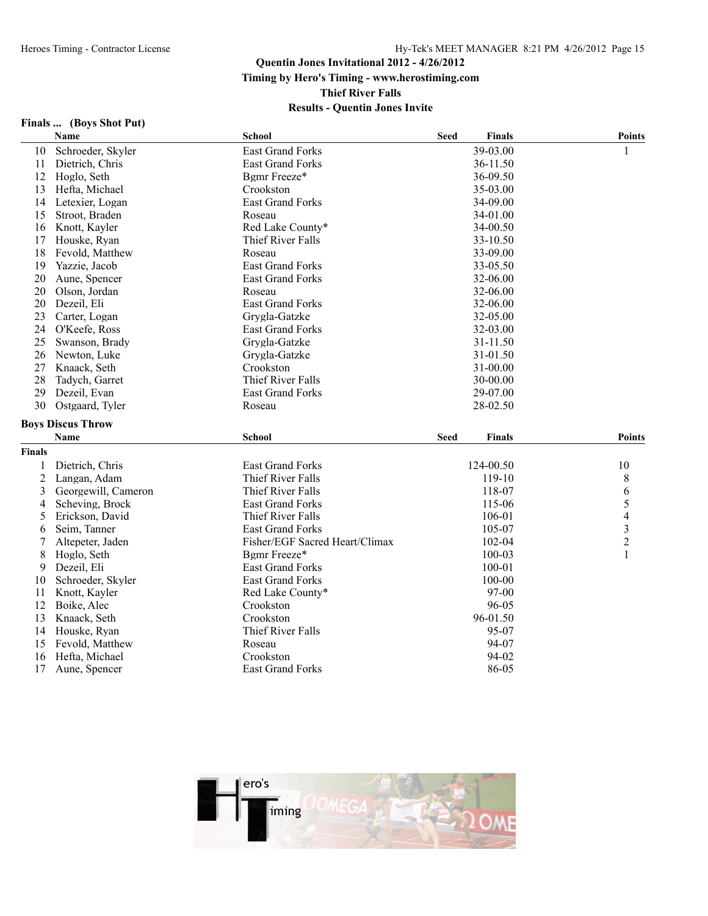### **Quentin Jones Invitational 2012 - 4/26/2012 Timing by Hero's Timing - www.herostiming.com Thief River Falls Results - Quentin Jones Invite**

#### **Finals ... (Boys Shot Put)**

|                | Name                     | <b>School</b>                  | <b>Seed</b> | <b>Finals</b> | <b>Points</b>  |
|----------------|--------------------------|--------------------------------|-------------|---------------|----------------|
| 10             | Schroeder, Skyler        | <b>East Grand Forks</b>        |             | 39-03.00      | 1              |
| 11             | Dietrich, Chris          | <b>East Grand Forks</b>        |             | 36-11.50      |                |
| 12             | Hoglo, Seth              | Bgmr Freeze*                   |             | 36-09.50      |                |
| 13             | Hefta, Michael           | Crookston                      |             | 35-03.00      |                |
| 14             | Letexier, Logan          | <b>East Grand Forks</b>        |             | 34-09.00      |                |
| 15             | Stroot, Braden           | Roseau                         |             | 34-01.00      |                |
| 16             | Knott, Kayler            | Red Lake County*               |             | 34-00.50      |                |
| 17             | Houske, Ryan             | Thief River Falls              |             | 33-10.50      |                |
| 18             | Fevold, Matthew          | Roseau                         |             | 33-09.00      |                |
| 19             | Yazzie, Jacob            | <b>East Grand Forks</b>        |             | 33-05.50      |                |
| 20             | Aune, Spencer            | <b>East Grand Forks</b>        |             | 32-06.00      |                |
| 20             | Olson, Jordan            | Roseau                         |             | 32-06.00      |                |
| 20             | Dezeil, Eli              | <b>East Grand Forks</b>        |             | 32-06.00      |                |
| 23             | Carter, Logan            | Grygla-Gatzke                  |             | 32-05.00      |                |
| 24             | O'Keefe, Ross            | <b>East Grand Forks</b>        |             | 32-03.00      |                |
| 25             | Swanson, Brady           | Grvgla-Gatzke                  |             | 31-11.50      |                |
| 26             | Newton, Luke             | Grygla-Gatzke                  |             | 31-01.50      |                |
| 27             | Knaack, Seth             | Crookston                      |             | 31-00.00      |                |
| 28             | Tadych, Garret           | Thief River Falls              |             | 30-00.00      |                |
| 29             | Dezeil, Evan             | <b>East Grand Forks</b>        |             | 29-07.00      |                |
| 30             | Ostgaard, Tyler          | Roseau                         |             | 28-02.50      |                |
|                | <b>Boys Discus Throw</b> |                                |             |               |                |
|                | Name                     | <b>School</b>                  | <b>Seed</b> | <b>Finals</b> | <b>Points</b>  |
| <b>Finals</b>  |                          |                                |             |               |                |
| 1              | Dietrich, Chris          | <b>East Grand Forks</b>        |             | 124-00.50     | 10             |
| $\overline{2}$ | Langan, Adam             | Thief River Falls              |             | 119-10        | 8              |
| 3              | Georgewill, Cameron      | Thief River Falls              |             | 118-07        | 6              |
| 4              | Scheving, Brock          | <b>East Grand Forks</b>        |             | 115-06        | 5              |
| 5              | Erickson, David          | Thief River Falls              |             | 106-01        | 4              |
| 6              | Seim, Tanner             | <b>East Grand Forks</b>        |             | 105-07        | 3              |
| 7              | Altepeter, Jaden         | Fisher/EGF Sacred Heart/Climax |             | 102-04        | $\overline{c}$ |
| 8              | Hoglo, Seth              | Bgmr Freeze*                   |             | 100-03        | 1              |
| 9              | Dezeil, Eli              | <b>East Grand Forks</b>        |             | 100-01        |                |
| 10             | Schroeder, Skyler        | <b>East Grand Forks</b>        |             | 100-00        |                |
| 11             | Knott, Kayler            | Red Lake County*               |             | 97-00         |                |
| 12             | Boike, Alec              | Crookston                      |             | 96-05         |                |
| 13             | Knaack, Seth             | Crookston                      |             | 96-01.50      |                |
| 14             | Houske, Ryan             | Thief River Falls              |             | 95-07         |                |
| 15             | Fevold, Matthew          | Roseau                         |             | 94-07         |                |
| 16             | Hefta, Michael           | Crookston                      |             | 94-02         |                |
| 17             | Aune, Spencer            | <b>East Grand Forks</b>        |             | 86-05         |                |